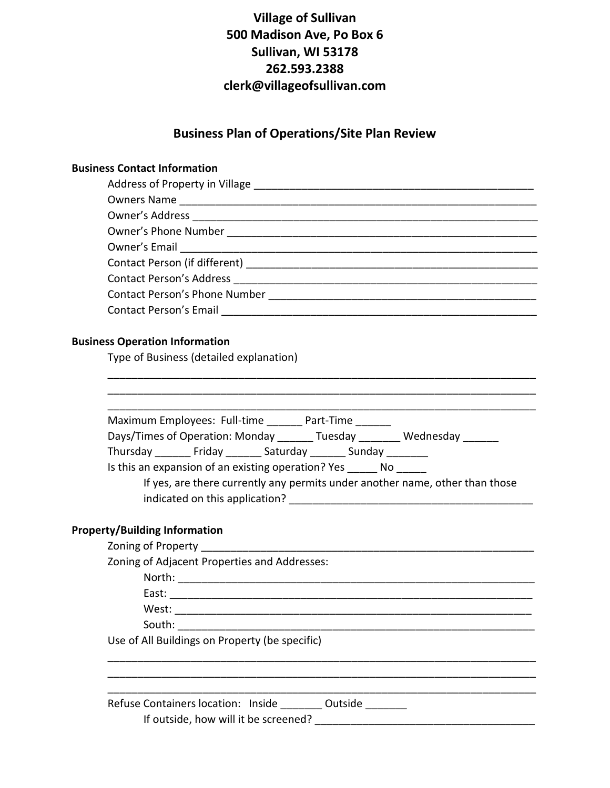#### **Business Plan of Operations/Site Plan Review**

#### **Business Contact Information**

| <b>Contact Person's Address</b> |  |  |  |  |
|---------------------------------|--|--|--|--|
|                                 |  |  |  |  |
| Contact Person's Email [19]     |  |  |  |  |

\_\_\_\_\_\_\_\_\_\_\_\_\_\_\_\_\_\_\_\_\_\_\_\_\_\_\_\_\_\_\_\_\_\_\_\_\_\_\_\_\_\_\_\_\_\_\_\_\_\_\_\_\_\_\_\_\_\_\_\_\_\_\_\_\_\_\_\_\_\_\_\_ \_\_\_\_\_\_\_\_\_\_\_\_\_\_\_\_\_\_\_\_\_\_\_\_\_\_\_\_\_\_\_\_\_\_\_\_\_\_\_\_\_\_\_\_\_\_\_\_\_\_\_\_\_\_\_\_\_\_\_\_\_\_\_\_\_\_\_\_\_\_\_\_

#### **Business Operation Information**

Type of Business (detailed explanation)

| Maximum Employees: Full-time _______ Part-Time ______                        |
|------------------------------------------------------------------------------|
| Days/Times of Operation: Monday Tuesday Wednesday                            |
| Thursday Friday Saturday Sunday                                              |
| Is this an expansion of an existing operation? Yes _______ No ______         |
| If yes, are there currently any permits under another name, other than those |
|                                                                              |
|                                                                              |
| <b>Property/Building Information</b>                                         |
|                                                                              |
| Zoning of Adjacent Properties and Addresses:                                 |
|                                                                              |
|                                                                              |
|                                                                              |
|                                                                              |
|                                                                              |

\_\_\_\_\_\_\_\_\_\_\_\_\_\_\_\_\_\_\_\_\_\_\_\_\_\_\_\_\_\_\_\_\_\_\_\_\_\_\_\_\_\_\_\_\_\_\_\_\_\_\_\_\_\_\_\_\_\_\_\_\_\_\_\_\_\_\_\_\_\_\_\_

 $\frac{1}{2}$  ,  $\frac{1}{2}$  ,  $\frac{1}{2}$  ,  $\frac{1}{2}$  ,  $\frac{1}{2}$  ,  $\frac{1}{2}$  ,  $\frac{1}{2}$  ,  $\frac{1}{2}$  ,  $\frac{1}{2}$  ,  $\frac{1}{2}$  ,  $\frac{1}{2}$  ,  $\frac{1}{2}$  ,  $\frac{1}{2}$  ,  $\frac{1}{2}$  ,  $\frac{1}{2}$  ,  $\frac{1}{2}$  ,  $\frac{1}{2}$  ,  $\frac{1}{2}$  ,  $\frac{1$ 

\_\_\_\_\_\_\_\_\_\_\_\_\_\_\_\_\_\_\_\_\_\_\_\_\_\_\_\_\_\_\_\_\_\_\_\_\_\_\_\_\_\_\_\_\_\_\_\_\_\_\_\_\_\_\_\_\_\_\_\_\_\_\_\_\_\_\_\_\_\_\_\_

Use of All Buildings on Property (be specific)

Refuse Containers location: Inside \_\_\_\_\_\_\_ Outside \_\_\_\_\_\_\_ If outside, how will it be screened? \_\_\_\_\_\_\_\_\_\_\_\_\_\_\_\_\_\_\_\_\_\_\_\_\_\_\_\_\_\_\_\_\_\_\_\_\_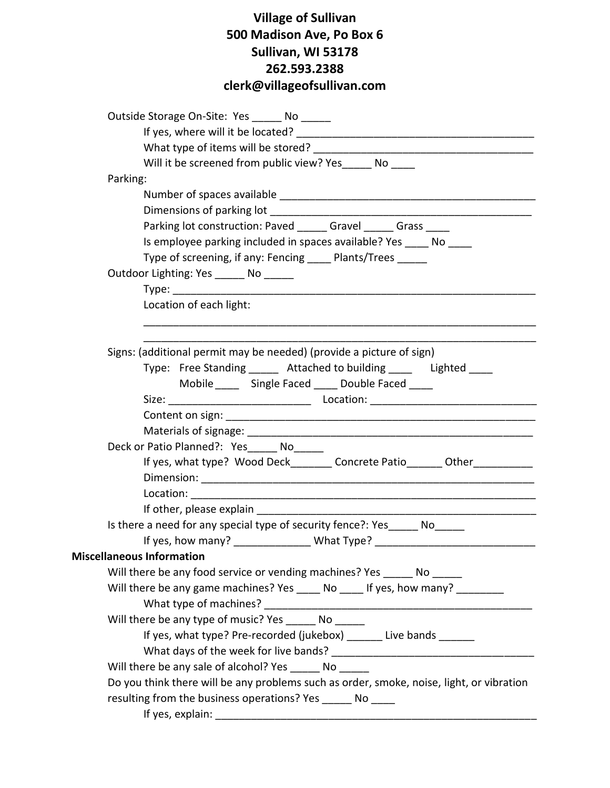| Outside Storage On-Site: Yes No                                                          |
|------------------------------------------------------------------------------------------|
|                                                                                          |
|                                                                                          |
| Will it be screened from public view? Yes No                                             |
| Parking:                                                                                 |
|                                                                                          |
|                                                                                          |
| Parking lot construction: Paved ______ Gravel ______ Grass                               |
| Is employee parking included in spaces available? Yes _____ No ____                      |
| Type of screening, if any: Fencing ____ Plants/Trees _____                               |
| Outdoor Lighting: Yes _______ No ______                                                  |
|                                                                                          |
| Location of each light:                                                                  |
|                                                                                          |
|                                                                                          |
| Signs: (additional permit may be needed) (provide a picture of sign)                     |
| Type: Free Standing ______ Attached to building _____ Lighted ____                       |
| Mobile ______ Single Faced _____ Double Faced ____                                       |
|                                                                                          |
|                                                                                          |
|                                                                                          |
| Deck or Patio Planned?: Yes______ No______                                               |
| If yes, what type? Wood Deck________ Concrete Patio_______ Other____________             |
|                                                                                          |
|                                                                                          |
|                                                                                          |
| Is there a need for any special type of security fence?: Yes_____ No_____                |
| If yes, how many? _________________ What Type? _________________________________         |
| <b>Miscellaneous Information</b>                                                         |
| Will there be any food service or vending machines? Yes No                               |
| Will there be any game machines? Yes _____ No ____ If yes, how many? _________           |
|                                                                                          |
| Will there be any type of music? Yes _______ No                                          |
| If yes, what type? Pre-recorded (jukebox) ______ Live bands ______                       |
|                                                                                          |
| Will there be any sale of alcohol? Yes No                                                |
| Do you think there will be any problems such as order, smoke, noise, light, or vibration |
| resulting from the business operations? Yes _______ No _____                             |
|                                                                                          |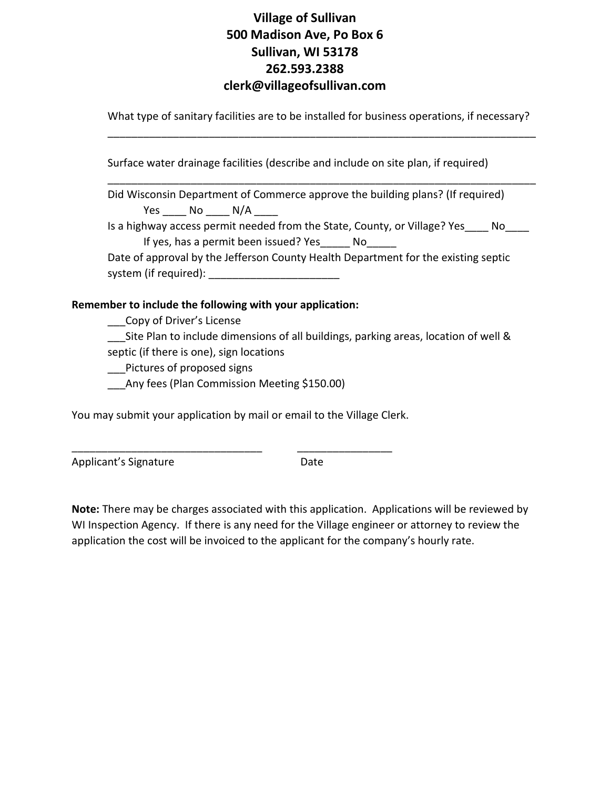What type of sanitary facilities are to be installed for business operations, if necessary? \_\_\_\_\_\_\_\_\_\_\_\_\_\_\_\_\_\_\_\_\_\_\_\_\_\_\_\_\_\_\_\_\_\_\_\_\_\_\_\_\_\_\_\_\_\_\_\_\_\_\_\_\_\_\_\_\_\_\_\_\_\_\_\_\_\_\_\_\_\_\_\_

\_\_\_\_\_\_\_\_\_\_\_\_\_\_\_\_\_\_\_\_\_\_\_\_\_\_\_\_\_\_\_\_\_\_\_\_\_\_\_\_\_\_\_\_\_\_\_\_\_\_\_\_\_\_\_\_\_\_\_\_\_\_\_\_\_\_\_\_\_\_\_\_

Surface water drainage facilities (describe and include on site plan, if required)

Did Wisconsin Department of Commerce approve the building plans? (If required) Yes No N/A Is a highway access permit needed from the State, County, or Village? Yes \_\_\_ No If yes, has a permit been issued? Yes No Date of approval by the Jefferson County Health Department for the existing septic system (if required):

#### **Remember to include the following with your application:**

\_\_\_Copy of Driver's License

Lite Plan to include dimensions of all buildings, parking areas, location of well & septic (if there is one), sign locations

Pictures of proposed signs

Any fees (Plan Commission Meeting \$150.00)

You may submit your application by mail or email to the Village Clerk.

\_\_\_\_\_\_\_\_\_\_\_\_\_\_\_\_\_\_\_\_\_\_\_\_\_\_\_\_\_\_\_\_ \_\_\_\_\_\_\_\_\_\_\_\_\_\_\_\_

Applicant's Signature Date

**Note:** There may be charges associated with this application. Applications will be reviewed by WI Inspection Agency. If there is any need for the Village engineer or attorney to review the application the cost will be invoiced to the applicant for the company's hourly rate.